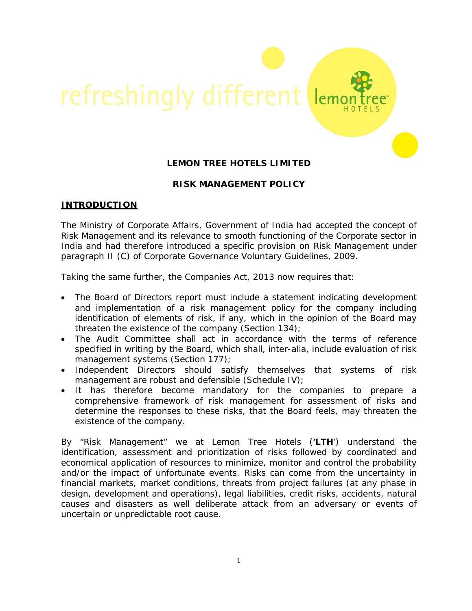

# **LEMON TREE HOTELS LIMITED**

# **RISK MANAGEMENT POLICY**

### **INTRODUCTION**

The Ministry of Corporate Affairs, Government of India had accepted the concept of Risk Management and its relevance to smooth functioning of the Corporate sector in India and had therefore introduced a specific provision on Risk Management under paragraph II (C) of Corporate Governance Voluntary Guidelines, 2009.

Taking the same further, the Companies Act, 2013 now requires that:

- The Board of Directors report must include a statement indicating development and implementation of a risk management policy for the company including identification of elements of risk, if any, which in the opinion of the Board may threaten the existence of the company (Section 134);
- The Audit Committee shall act in accordance with the terms of reference specified in writing by the Board, which shall, inter-alia, include evaluation of risk management systems (Section 177);
- Independent Directors should satisfy themselves that systems of risk management are robust and defensible (Schedule IV);
- It has therefore become mandatory for the companies to prepare a comprehensive framework of risk management for assessment of risks and determine the responses to these risks, that the Board feels, may threaten the existence of the company.

By "Risk Management" we at Lemon Tree Hotels ('**LTH**') understand the identification, assessment and prioritization of risks followed by coordinated and economical application of resources to minimize, monitor and control the probability and/or the impact of unfortunate events. Risks can come from the uncertainty in financial markets, market conditions, threats from project failures (at any phase in design, development and operations), legal liabilities, credit risks, accidents, natural causes and disasters as well deliberate attack from an adversary or events of uncertain or unpredictable root cause.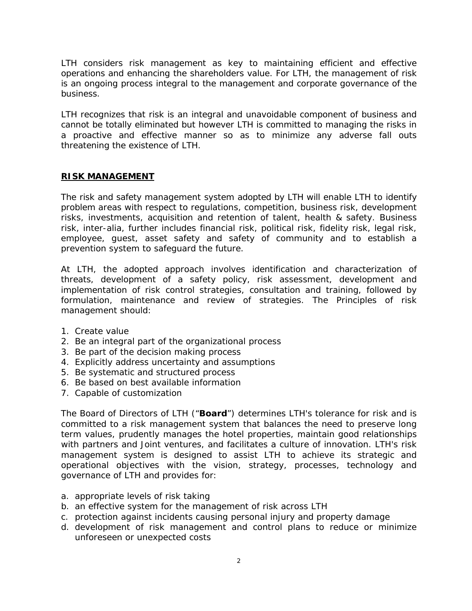LTH considers risk management as key to maintaining efficient and effective operations and enhancing the shareholders value. For LTH, the management of risk is an ongoing process integral to the management and corporate governance of the business.

LTH recognizes that risk is an integral and unavoidable component of business and cannot be totally eliminated but however LTH is committed to managing the risks in a proactive and effective manner so as to minimize any adverse fall outs threatening the existence of LTH.

#### **RISK MANAGEMENT**

The risk and safety management system adopted by LTH will enable LTH to identify problem areas with respect to regulations, competition, business risk, development risks, investments, acquisition and retention of talent, health & safety. Business risk, inter-alia, further includes financial risk, political risk, fidelity risk, legal risk, employee, guest, asset safety and safety of community and to establish a prevention system to safeguard the future.

At LTH, the adopted approach involves identification and characterization of threats, development of a safety policy, risk assessment, development and implementation of risk control strategies, consultation and training, followed by formulation, maintenance and review of strategies. The Principles of risk management should:

- 1. Create value
- 2. Be an integral part of the organizational process
- 3. Be part of the decision making process
- 4. Explicitly address uncertainty and assumptions
- 5. Be systematic and structured process
- 6. Be based on best available information
- 7. Capable of customization

The Board of Directors of LTH ("**Board**") determines LTH's tolerance for risk and is committed to a risk management system that balances the need to preserve long term values, prudently manages the hotel properties, maintain good relationships with partners and Joint ventures, and facilitates a culture of innovation. LTH's risk management system is designed to assist LTH to achieve its strategic and operational objectives with the vision, strategy, processes, technology and governance of LTH and provides for:

- a. appropriate levels of risk taking
- b. an effective system for the management of risk across LTH
- c. protection against incidents causing personal injury and property damage
- d. development of risk management and control plans to reduce or minimize unforeseen or unexpected costs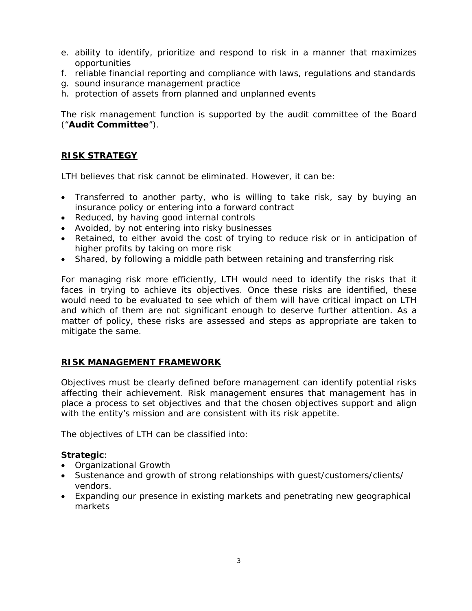- e. ability to identify, prioritize and respond to risk in a manner that maximizes opportunities
- f. reliable financial reporting and compliance with laws, regulations and standards
- g. sound insurance management practice
- h. protection of assets from planned and unplanned events

The risk management function is supported by the audit committee of the Board ("**Audit Committee**").

## **RISK STRATEGY**

LTH believes that risk cannot be eliminated. However, it can be:

- Transferred to another party, who is willing to take risk, say by buying an insurance policy or entering into a forward contract
- Reduced, by having good internal controls
- Avoided, by not entering into risky businesses
- Retained, to either avoid the cost of trying to reduce risk or in anticipation of higher profits by taking on more risk
- Shared, by following a middle path between retaining and transferring risk

For managing risk more efficiently, LTH would need to identify the risks that it faces in trying to achieve its objectives. Once these risks are identified, these would need to be evaluated to see which of them will have critical impact on LTH and which of them are not significant enough to deserve further attention. As a matter of policy, these risks are assessed and steps as appropriate are taken to mitigate the same.

### **RISK MANAGEMENT FRAMEWORK**

Objectives must be clearly defined before management can identify potential risks affecting their achievement. Risk management ensures that management has in place a process to set objectives and that the chosen objectives support and align with the entity's mission and are consistent with its risk appetite.

The objectives of LTH can be classified into:

### **Strategic**:

- Organizational Growth
- Sustenance and growth of strong relationships with guest/customers/clients/ vendors.
- Expanding our presence in existing markets and penetrating new geographical markets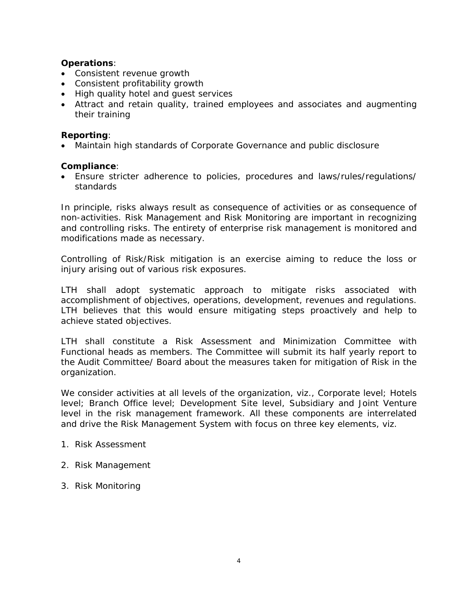## **Operations**:

- Consistent revenue growth
- Consistent profitability growth
- High quality hotel and guest services
- Attract and retain quality, trained employees and associates and augmenting their training

### **Reporting**:

• Maintain high standards of Corporate Governance and public disclosure

#### **Compliance**:

• Ensure stricter adherence to policies, procedures and laws/rules/regulations/ standards

In principle, risks always result as consequence of activities or as consequence of non-activities. Risk Management and Risk Monitoring are important in recognizing and controlling risks. The entirety of enterprise risk management is monitored and modifications made as necessary.

Controlling of Risk/Risk mitigation is an exercise aiming to reduce the loss or injury arising out of various risk exposures.

LTH shall adopt systematic approach to mitigate risks associated with accomplishment of objectives, operations, development, revenues and regulations. LTH believes that this would ensure mitigating steps proactively and help to achieve stated objectives.

LTH shall constitute a Risk Assessment and Minimization Committee with Functional heads as members. The Committee will submit its half yearly report to the Audit Committee/ Board about the measures taken for mitigation of Risk in the organization.

We consider activities at all levels of the organization, viz., Corporate level; Hotels level; Branch Office level; Development Site level, Subsidiary and Joint Venture level in the risk management framework. All these components are interrelated and drive the Risk Management System with focus on three key elements, viz.

#### 1. Risk Assessment

- 2. Risk Management
- 3. Risk Monitoring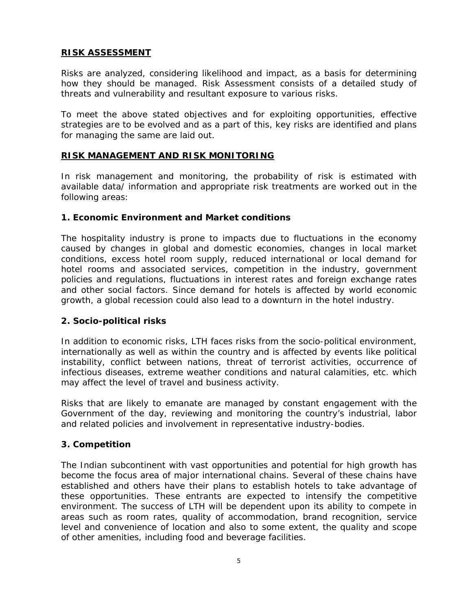## **RISK ASSESSMENT**

Risks are analyzed, considering likelihood and impact, as a basis for determining how they should be managed. Risk Assessment consists of a detailed study of threats and vulnerability and resultant exposure to various risks.

To meet the above stated objectives and for exploiting opportunities, effective strategies are to be evolved and as a part of this, key risks are identified and plans for managing the same are laid out.

### **RISK MANAGEMENT AND RISK MONITORING**

In risk management and monitoring, the probability of risk is estimated with available data/ information and appropriate risk treatments are worked out in the following areas:

### **1. Economic Environment and Market conditions**

The hospitality industry is prone to impacts due to fluctuations in the economy caused by changes in global and domestic economies, changes in local market conditions, excess hotel room supply, reduced international or local demand for hotel rooms and associated services, competition in the industry, government policies and regulations, fluctuations in interest rates and foreign exchange rates and other social factors. Since demand for hotels is affected by world economic growth, a global recession could also lead to a downturn in the hotel industry.

### **2. Socio-political risks**

In addition to economic risks, LTH faces risks from the socio-political environment, internationally as well as within the country and is affected by events like political instability, conflict between nations, threat of terrorist activities, occurrence of infectious diseases, extreme weather conditions and natural calamities, etc. which may affect the level of travel and business activity.

Risks that are likely to emanate are managed by constant engagement with the Government of the day, reviewing and monitoring the country's industrial, labor and related policies and involvement in representative industry-bodies.

# **3. Competition**

The Indian subcontinent with vast opportunities and potential for high growth has become the focus area of major international chains. Several of these chains have established and others have their plans to establish hotels to take advantage of these opportunities. These entrants are expected to intensify the competitive environment. The success of LTH will be dependent upon its ability to compete in areas such as room rates, quality of accommodation, brand recognition, service level and convenience of location and also to some extent, the quality and scope of other amenities, including food and beverage facilities.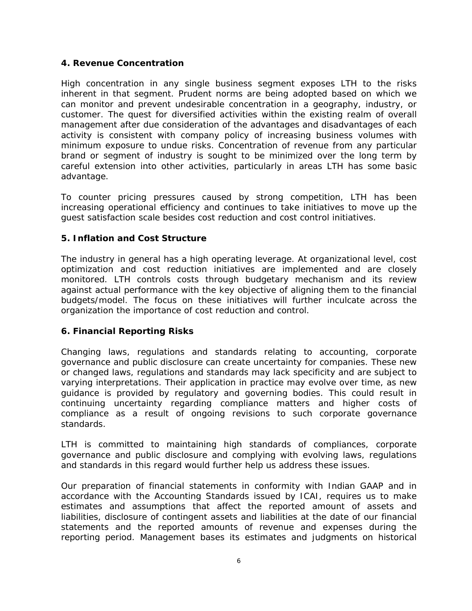## **4. Revenue Concentration**

High concentration in any single business segment exposes LTH to the risks inherent in that segment. Prudent norms are being adopted based on which we can monitor and prevent undesirable concentration in a geography, industry, or customer. The quest for diversified activities within the existing realm of overall management after due consideration of the advantages and disadvantages of each activity is consistent with company policy of increasing business volumes with minimum exposure to undue risks. Concentration of revenue from any particular brand or segment of industry is sought to be minimized over the long term by careful extension into other activities, particularly in areas LTH has some basic advantage.

To counter pricing pressures caused by strong competition, LTH has been increasing operational efficiency and continues to take initiatives to move up the guest satisfaction scale besides cost reduction and cost control initiatives.

## **5. Inflation and Cost Structure**

The industry in general has a high operating leverage. At organizational level, cost optimization and cost reduction initiatives are implemented and are closely monitored. LTH controls costs through budgetary mechanism and its review against actual performance with the key objective of aligning them to the financial budgets/model. The focus on these initiatives will further inculcate across the organization the importance of cost reduction and control.

### **6. Financial Reporting Risks**

Changing laws, regulations and standards relating to accounting, corporate governance and public disclosure can create uncertainty for companies. These new or changed laws, regulations and standards may lack specificity and are subject to varying interpretations. Their application in practice may evolve over time, as new guidance is provided by regulatory and governing bodies. This could result in continuing uncertainty regarding compliance matters and higher costs of compliance as a result of ongoing revisions to such corporate governance standards.

LTH is committed to maintaining high standards of compliances, corporate governance and public disclosure and complying with evolving laws, regulations and standards in this regard would further help us address these issues.

Our preparation of financial statements in conformity with Indian GAAP and in accordance with the Accounting Standards issued by ICAI, requires us to make estimates and assumptions that affect the reported amount of assets and liabilities, disclosure of contingent assets and liabilities at the date of our financial statements and the reported amounts of revenue and expenses during the reporting period. Management bases its estimates and judgments on historical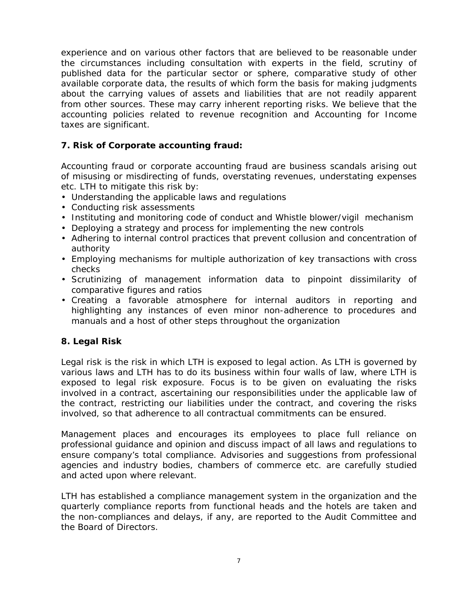experience and on various other factors that are believed to be reasonable under the circumstances including consultation with experts in the field, scrutiny of published data for the particular sector or sphere, comparative study of other available corporate data, the results of which form the basis for making judgments about the carrying values of assets and liabilities that are not readily apparent from other sources. These may carry inherent reporting risks. We believe that the accounting policies related to revenue recognition and Accounting for Income taxes are significant.

## **7. Risk of Corporate accounting fraud:**

Accounting fraud or corporate accounting fraud are business scandals arising out of misusing or misdirecting of funds, overstating revenues, understating expenses etc. LTH to mitigate this risk by:

- Understanding the applicable laws and regulations
- Conducting risk assessments
- Instituting and monitoring code of conduct and Whistle blower/vigil mechanism
- Deploying a strategy and process for implementing the new controls
- Adhering to internal control practices that prevent collusion and concentration of authority
- Employing mechanisms for multiple authorization of key transactions with cross checks
- Scrutinizing of management information data to pinpoint dissimilarity of comparative figures and ratios
- Creating a favorable atmosphere for internal auditors in reporting and highlighting any instances of even minor non-adherence to procedures and manuals and a host of other steps throughout the organization

# **8. Legal Risk**

Legal risk is the risk in which LTH is exposed to legal action. As LTH is governed by various laws and LTH has to do its business within four walls of law, where LTH is exposed to legal risk exposure. Focus is to be given on evaluating the risks involved in a contract, ascertaining our responsibilities under the applicable law of the contract, restricting our liabilities under the contract, and covering the risks involved, so that adherence to all contractual commitments can be ensured.

Management places and encourages its employees to place full reliance on professional guidance and opinion and discuss impact of all laws and regulations to ensure company's total compliance. Advisories and suggestions from professional agencies and industry bodies, chambers of commerce etc. are carefully studied and acted upon where relevant.

LTH has established a compliance management system in the organization and the quarterly compliance reports from functional heads and the hotels are taken and the non-compliances and delays, if any, are reported to the Audit Committee and the Board of Directors.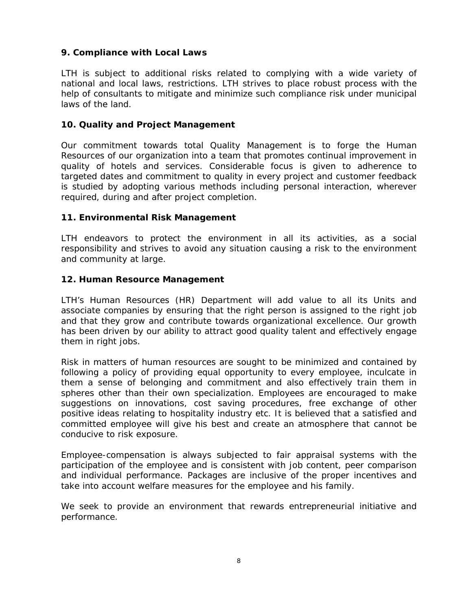# **9. Compliance with Local Laws**

LTH is subject to additional risks related to complying with a wide variety of national and local laws, restrictions. LTH strives to place robust process with the help of consultants to mitigate and minimize such compliance risk under municipal laws of the land.

## **10. Quality and Project Management**

Our commitment towards total Quality Management is to forge the Human Resources of our organization into a team that promotes continual improvement in quality of hotels and services. Considerable focus is given to adherence to targeted dates and commitment to quality in every project and customer feedback is studied by adopting various methods including personal interaction, wherever required, during and after project completion.

### **11. Environmental Risk Management**

LTH endeavors to protect the environment in all its activities, as a social responsibility and strives to avoid any situation causing a risk to the environment and community at large.

## **12. Human Resource Management**

LTH's Human Resources (HR) Department will add value to all its Units and associate companies by ensuring that the right person is assigned to the right job and that they grow and contribute towards organizational excellence. Our growth has been driven by our ability to attract good quality talent and effectively engage them in right jobs.

Risk in matters of human resources are sought to be minimized and contained by following a policy of providing equal opportunity to every employee, inculcate in them a sense of belonging and commitment and also effectively train them in spheres other than their own specialization. Employees are encouraged to make suggestions on innovations, cost saving procedures, free exchange of other positive ideas relating to hospitality industry etc. It is believed that a satisfied and committed employee will give his best and create an atmosphere that cannot be conducive to risk exposure.

Employee-compensation is always subjected to fair appraisal systems with the participation of the employee and is consistent with job content, peer comparison and individual performance. Packages are inclusive of the proper incentives and take into account welfare measures for the employee and his family.

We seek to provide an environment that rewards entrepreneurial initiative and performance.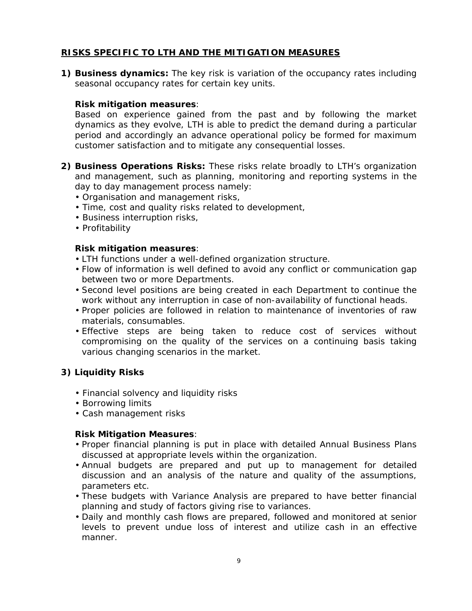# **RISKS SPECIFIC TO LTH AND THE MITIGATION MEASURES**

**1) Business dynamics:** The key risk is variation of the occupancy rates including seasonal occupancy rates for certain key units.

# **Risk mitigation measures**:

Based on experience gained from the past and by following the market dynamics as they evolve, LTH is able to predict the demand during a particular period and accordingly an advance operational policy be formed for maximum customer satisfaction and to mitigate any consequential losses.

- **2) Business Operations Risks:** These risks relate broadly to LTH's organization and management, such as planning, monitoring and reporting systems in the day to day management process namely:
	- Organisation and management risks,
	- Time, cost and quality risks related to development,
	- Business interruption risks,
	- Profitability

## **Risk mitigation measures**:

- LTH functions under a well-defined organization structure.
- Flow of information is well defined to avoid any conflict or communication gap between two or more Departments.
- Second level positions are being created in each Department to continue the work without any interruption in case of non-availability of functional heads.
- Proper policies are followed in relation to maintenance of inventories of raw materials, consumables.
- Effective steps are being taken to reduce cost of services without compromising on the quality of the services on a continuing basis taking various changing scenarios in the market.

# **3) Liquidity Risks**

- Financial solvency and liquidity risks
- Borrowing limits
- Cash management risks

### **Risk Mitigation Measures**:

- Proper financial planning is put in place with detailed Annual Business Plans discussed at appropriate levels within the organization.
- Annual budgets are prepared and put up to management for detailed discussion and an analysis of the nature and quality of the assumptions, parameters etc.
- These budgets with Variance Analysis are prepared to have better financial planning and study of factors giving rise to variances.
- Daily and monthly cash flows are prepared, followed and monitored at senior levels to prevent undue loss of interest and utilize cash in an effective manner.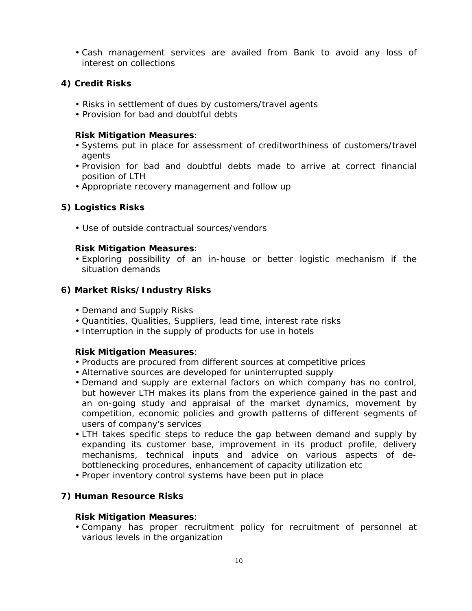• Cash management services are availed from Bank to avoid any loss of interest on collections

### **4) Credit Risks**

- Risks in settlement of dues by customers/travel agents
- Provision for bad and doubtful debts

#### **Risk Mitigation Measures**:

- Systems put in place for assessment of creditworthiness of customers/travel agents
- Provision for bad and doubtful debts made to arrive at correct financial position of LTH
- Appropriate recovery management and follow up

## **5) Logistics Risks**

• Use of outside contractual sources/vendors

#### **Risk Mitigation Measures**:

• Exploring possibility of an in-house or better logistic mechanism if the situation demands

### **6) Market Risks/Industry Risks**

- Demand and Supply Risks
- Quantities, Qualities, Suppliers, lead time, interest rate risks
- Interruption in the supply of products for use in hotels

### **Risk Mitigation Measures**:

- Products are procured from different sources at competitive prices
- Alternative sources are developed for uninterrupted supply
- Demand and supply are external factors on which company has no control, but however LTH makes its plans from the experience gained in the past and an on-going study and appraisal of the market dynamics, movement by competition, economic policies and growth patterns of different segments of users of company's services
- LTH takes specific steps to reduce the gap between demand and supply by expanding its customer base, improvement in its product profile, delivery mechanisms, technical inputs and advice on various aspects of debottlenecking procedures, enhancement of capacity utilization etc
- Proper inventory control systems have been put in place

### **7) Human Resource Risks**

#### **Risk Mitigation Measures**:

• Company has proper recruitment policy for recruitment of personnel at various levels in the organization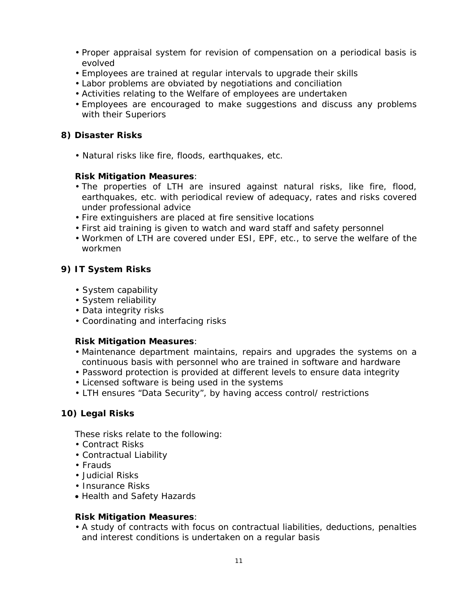- Proper appraisal system for revision of compensation on a periodical basis is evolved
- Employees are trained at regular intervals to upgrade their skills
- Labor problems are obviated by negotiations and conciliation
- Activities relating to the Welfare of employees are undertaken
- Employees are encouraged to make suggestions and discuss any problems with their Superiors

## **8) Disaster Risks**

• Natural risks like fire, floods, earthquakes, etc.

### **Risk Mitigation Measures**:

- The properties of LTH are insured against natural risks, like fire, flood, earthquakes, etc. with periodical review of adequacy, rates and risks covered under professional advice
- Fire extinguishers are placed at fire sensitive locations
- First aid training is given to watch and ward staff and safety personnel
- Workmen of LTH are covered under ESI, EPF, etc., to serve the welfare of the workmen

## **9) IT System Risks**

- System capability
- System reliability
- Data integrity risks
- Coordinating and interfacing risks

### **Risk Mitigation Measures**:

- Maintenance department maintains, repairs and upgrades the systems on a continuous basis with personnel who are trained in software and hardware
- Password protection is provided at different levels to ensure data integrity
- Licensed software is being used in the systems
- LTH ensures "Data Security", by having access control/ restrictions

### **10) Legal Risks**

These risks relate to the following:

- Contract Risks
- Contractual Liability
- Frauds
- Judicial Risks
- Insurance Risks
- Health and Safety Hazards

#### **Risk Mitigation Measures**:

• A study of contracts with focus on contractual liabilities, deductions, penalties and interest conditions is undertaken on a regular basis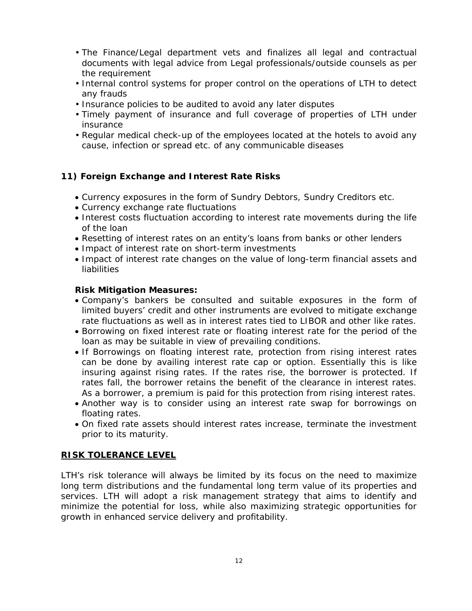- The Finance/Legal department vets and finalizes all legal and contractual documents with legal advice from Legal professionals/outside counsels as per the requirement
- Internal control systems for proper control on the operations of LTH to detect any frauds
- Insurance policies to be audited to avoid any later disputes
- Timely payment of insurance and full coverage of properties of LTH under insurance
- Regular medical check-up of the employees located at the hotels to avoid any cause, infection or spread etc. of any communicable diseases

## **11) Foreign Exchange and Interest Rate Risks**

- Currency exposures in the form of Sundry Debtors, Sundry Creditors etc.
- Currency exchange rate fluctuations
- Interest costs fluctuation according to interest rate movements during the life of the loan
- Resetting of interest rates on an entity's loans from banks or other lenders
- Impact of interest rate on short-term investments
- Impact of interest rate changes on the value of long-term financial assets and liabilities

#### **Risk Mitigation Measures:**

- Company's bankers be consulted and suitable exposures in the form of limited buyers' credit and other instruments are evolved to mitigate exchange rate fluctuations as well as in interest rates tied to LIBOR and other like rates.
- Borrowing on fixed interest rate or floating interest rate for the period of the loan as may be suitable in view of prevailing conditions.
- If Borrowings on floating interest rate, protection from rising interest rates can be done by availing interest rate cap or option. Essentially this is like insuring against rising rates. If the rates rise, the borrower is protected. If rates fall, the borrower retains the benefit of the clearance in interest rates. As a borrower, a premium is paid for this protection from rising interest rates.
- Another way is to consider using an interest rate swap for borrowings on floating rates.
- On fixed rate assets should interest rates increase, terminate the investment prior to its maturity.

#### **RISK TOLERANCE LEVEL**

LTH's risk tolerance will always be limited by its focus on the need to maximize long term distributions and the fundamental long term value of its properties and services. LTH will adopt a risk management strategy that aims to identify and minimize the potential for loss, while also maximizing strategic opportunities for growth in enhanced service delivery and profitability.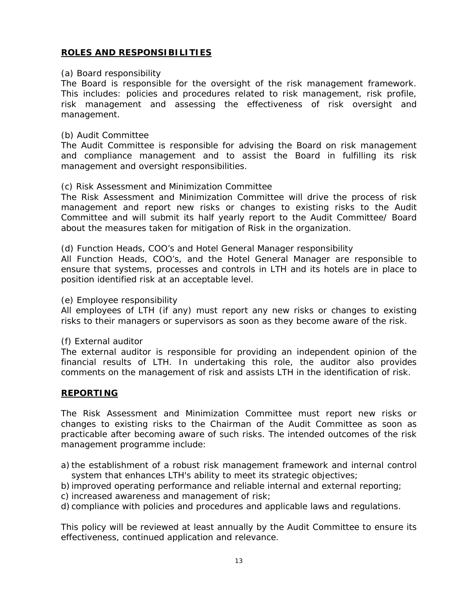# **ROLES AND RESPONSIBILITIES**

#### *(a) Board responsibility*

The Board is responsible for the oversight of the risk management framework. This includes: policies and procedures related to risk management, risk profile, risk management and assessing the effectiveness of risk oversight and management.

#### *(b) Audit Committee*

The Audit Committee is responsible for advising the Board on risk management and compliance management and to assist the Board in fulfilling its risk management and oversight responsibilities.

#### *(c)* Risk Assessment and Minimization Committee

The Risk Assessment and Minimization Committee will drive the process of risk management and report new risks or changes to existing risks to the Audit Committee and will submit its half yearly report to the Audit Committee/ Board about the measures taken for mitigation of Risk in the organization.

#### *(d) Function Heads, COO's and Hotel General Manager responsibility*

All Function Heads, COO's, and the Hotel General Manager are responsible to ensure that systems, processes and controls in LTH and its hotels are in place to position identified risk at an acceptable level.

#### *(e) Employee responsibility*

All employees of LTH (if any) must report any new risks or changes to existing risks to their managers or supervisors as soon as they become aware of the risk.

#### *(f) External auditor*

The external auditor is responsible for providing an independent opinion of the financial results of LTH. In undertaking this role, the auditor also provides comments on the management of risk and assists LTH in the identification of risk.

#### **REPORTING**

The Risk Assessment and Minimization Committee must report new risks or changes to existing risks to the Chairman of the Audit Committee as soon as practicable after becoming aware of such risks. The intended outcomes of the risk management programme include:

- a) the establishment of a robust risk management framework and internal control system that enhances LTH's ability to meet its strategic objectives;
- b) improved operating performance and reliable internal and external reporting;
- c) increased awareness and management of risk;
- d) compliance with policies and procedures and applicable laws and regulations.

This policy will be reviewed at least annually by the Audit Committee to ensure its effectiveness, continued application and relevance.